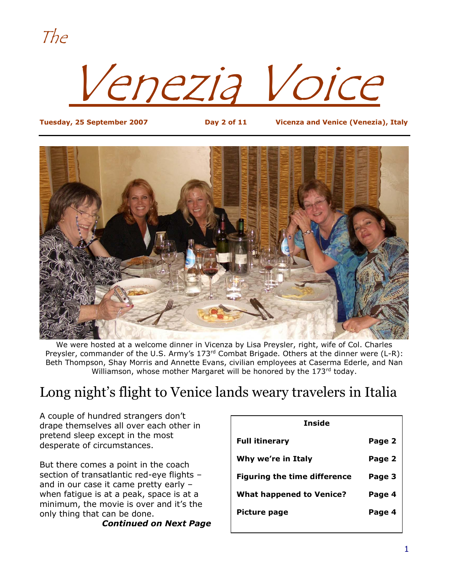The

Venezia Voice

**Tuesday, 25 September 2007 Day 2 of 11 Vicenza and Venice (Venezia), Italy**



We were hosted at a welcome dinner in Vicenza by Lisa Preysler, right, wife of Col. Charles Preysler, commander of the U.S. Army's 173<sup>rd</sup> Combat Brigade. Others at the dinner were (L-R): Beth Thompson, Shay Morris and Annette Evans, civilian employees at Caserma Ederle, and Nan Williamson, whose mother Margaret will be honored by the 173rd today.

### Long night's flight to Venice lands weary travelers in Italia

A couple of hundred strangers don't drape themselves all over each other in pretend sleep except in the most desperate of circumstances.

But there comes a point in the coach section of transatlantic red-eye flights – and in our case it came pretty early – when fatigue is at a peak, space is at a minimum, the movie is over and it's the only thing that can be done.

*Continued on Next Page*

| Inside                              |        |  |  |  |
|-------------------------------------|--------|--|--|--|
| <b>Full itinerary</b>               | Page 2 |  |  |  |
| Why we're in Italy                  | Page 2 |  |  |  |
| <b>Figuring the time difference</b> | Page 3 |  |  |  |
| <b>What happened to Venice?</b>     | Page 4 |  |  |  |
| Picture page                        | Page 4 |  |  |  |
|                                     |        |  |  |  |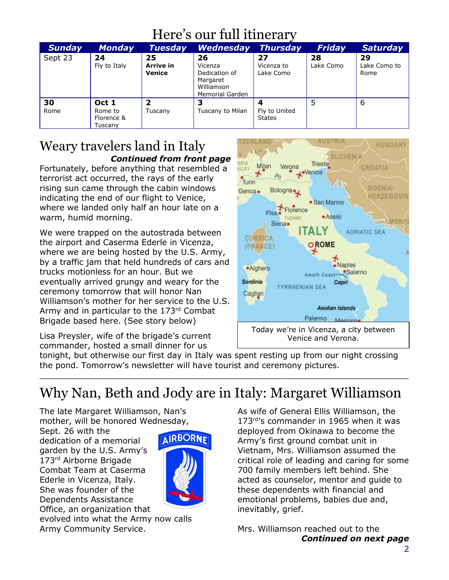### Here's our full itinerary

| <b>Sunday</b> | <b>Monday</b>                             | <b>Tuesday</b>            | <b>Wednesday</b>                                                                   | <b>Thursday</b>                | Friday          | <b>Saturday</b>            |
|---------------|-------------------------------------------|---------------------------|------------------------------------------------------------------------------------|--------------------------------|-----------------|----------------------------|
| Sept 23       | 24<br>Fly to Italy                        | 25<br>Arrive in<br>Venice | 26<br>Vicenza<br>Dedication of<br>Margaret<br>Williamson<br><b>Memorial Garden</b> | 27<br>Vicenza to<br>Lake Como  | 28<br>Lake Como | 29<br>Lake Como to<br>Rome |
| 30<br>Rome    | Oct 1<br>Rome to<br>Florence &<br>Tuscany | 2<br>Tuscany              | 3<br>Tuscany to Milan                                                              | Fly to United<br><b>States</b> | 5               | 6                          |

### Weary travelers land in Italy *Continued from front page*

Fortunately, before anything that resembled a terrorist act occurred, the rays of the early rising sun came through the cabin windows indicating the end of our flight to Venice, where we landed only half an hour late on a warm, humid morning.

We were trapped on the autostrada between the airport and Caserma Ederle in Vicenza, where we are being hosted by the U.S. Army, by a traffic jam that held hundreds of cars and trucks motionless for an hour. But we eventually arrived grungy and weary for the ceremony tomorrow that will honor Nan Williamson's mother for her service to the U.S. Army and in particular to the 173rd Combat Brigade based here. (See story below)

Lisa Preysler, wife of the brigade's current commander, hosted a small dinner for us



tonight, but otherwise our first day in Italy was spent resting up from our night crossing the pond. Tomorrow's newsletter will have tourist and ceremony pictures.

 $\_$  , and the set of the set of the set of the set of the set of the set of the set of the set of the set of the set of the set of the set of the set of the set of the set of the set of the set of the set of the set of th

## Why Nan, Beth and Jody are in Italy: Margaret Williamson

The late Margaret Williamson, Nan's mother, will be honored Wednesday,

Sept. 26 with the dedication of a memorial garden by the U.S. Army's 173rd Airborne Brigade Combat Team at Caserma Ederle in Vicenza, Italy. She was founder of the Dependents Assistance Office, an organization that



evolved into what the Army now calls Army Community Service.

As wife of General Ellis Williamson, the 173<sup>rd'</sup>s commander in 1965 when it was deployed from Okinawa to become the Army's first ground combat unit in Vietnam, Mrs. Williamson assumed the critical role of leading and caring for some 700 family members left behind. She acted as counselor, mentor and guide to these dependents with financial and emotional problems, babies due and, inevitably, grief.

Mrs. Williamson reached out to the *Continued on next page*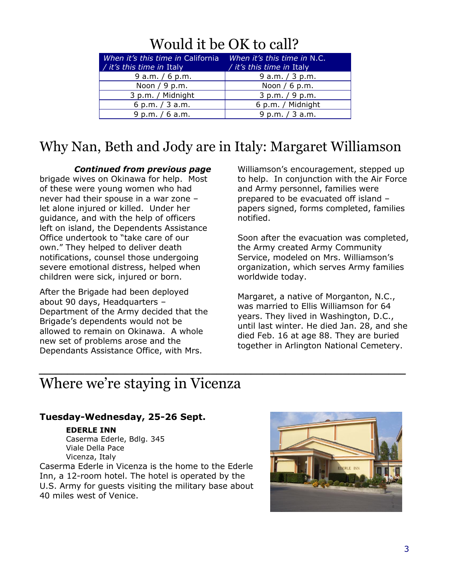### Would it be OK to call?

| When it's this time in California<br>/ it's this time in Italy | When it's this time in N.C.<br>/ it's this time in Italy |
|----------------------------------------------------------------|----------------------------------------------------------|
| $9$ a.m. / 6 p.m.                                              | 9 a.m. $/$ 3 p.m.                                        |
| Noon $/ 9$ p.m.                                                | Noon $/ 6$ p.m.                                          |
| 3 p.m. / Midnight                                              | 3 p.m. / 9 p.m.                                          |
| 6 p.m. $/$ 3 a.m.                                              | 6 p.m. / Midnight                                        |
| 9 p.m. $/ 6$ a.m.                                              | 9 p.m. / 3 a.m.                                          |

### Why Nan, Beth and Jody are in Italy: Margaret Williamson

*\_\_\_\_\_\_\_\_\_\_\_\_\_\_\_\_\_\_\_\_\_\_\_\_\_\_\_\_\_\_\_\_\_\_\_\_\_\_\_\_\_\_\_\_\_\_\_\_\_\_\_\_\_\_\_\_\_\_\_\_\_\_\_\_*

#### *Continued from previous page*

brigade wives on Okinawa for help. Most of these were young women who had never had their spouse in a war zone – let alone injured or killed. Under her guidance, and with the help of officers left on island, the Dependents Assistance Office undertook to "take care of our own." They helped to deliver death notifications, counsel those undergoing severe emotional distress, helped when children were sick, injured or born.

After the Brigade had been deployed about 90 days, Headquarters – Department of the Army decided that the Brigade's dependents would not be allowed to remain on Okinawa. A whole new set of problems arose and the Dependants Assistance Office, with Mrs.

Williamson's encouragement, stepped up to help. In conjunction with the Air Force and Army personnel, families were prepared to be evacuated off island – papers signed, forms completed, families notified.

Soon after the evacuation was completed, the Army created Army Community Service, modeled on Mrs. Williamson's organization, which serves Army families worldwide today.

Margaret, a native of Morganton, N.C., was married to Ellis Williamson for 64 years. They lived in Washington, D.C., until last winter. He died Jan. 28, and she died Feb. 16 at age 88. They are buried together in Arlington National Cemetery.

### Where we're staying in Vicenza

#### **Tuesday-Wednesday, 25-26 Sept.**

#### **EDERLE INN**

Caserma Ederle, Bdlg. 345 Viale Della Pace Vicenza, Italy

Caserma Ederle in Vicenza is the home to the Ederle Inn, a 12-room hotel. The hotel is operated by the U.S. Army for guests visiting the military base about 40 miles west of Venice.

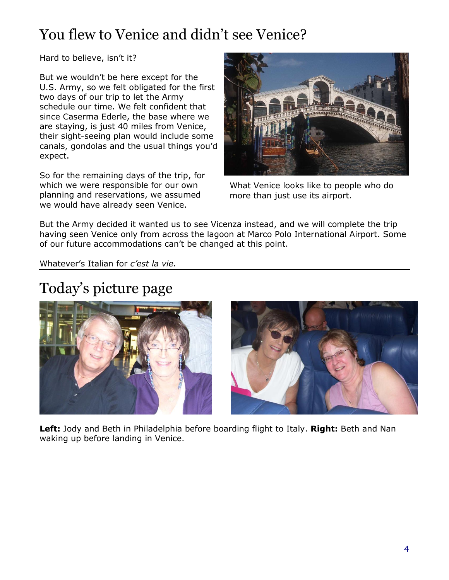## You flew to Venice and didn't see Venice?

Hard to believe, isn't it?

But we wouldn't be here except for the U.S. Army, so we felt obligated for the first two days of our trip to let the Army schedule our time. We felt confident that since Caserma Ederle, the base where we are staying, is just 40 miles from Venice, their sight-seeing plan would include some canals, gondolas and the usual things you'd expect.

So for the remaining days of the trip, for which we were responsible for our own planning and reservations, we assumed we would have already seen Venice.



What Venice looks like to people who do more than just use its airport.

But the Army decided it wanted us to see Vicenza instead, and we will complete the trip having seen Venice only from across the lagoon at Marco Polo International Airport. Some of our future accommodations can't be changed at this point.

Whatever's Italian for *c'est la vie.*

# Today's picture page





**Left:** Jody and Beth in Philadelphia before boarding flight to Italy. **Right:** Beth and Nan waking up before landing in Venice.